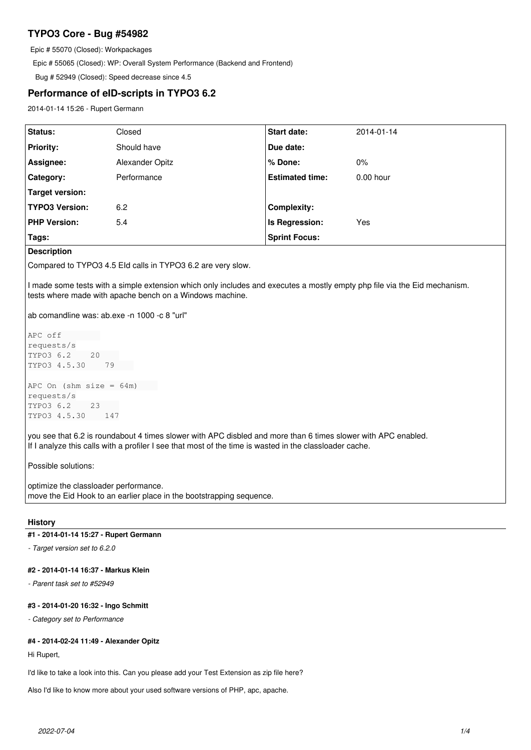# **TYPO3 Core - Bug #54982**

Epic # 55070 (Closed): Workpackages

Epic # 55065 (Closed): WP: Overall System Performance (Backend and Frontend)

Bug # 52949 (Closed): Speed decrease since 4.5

# **Performance of eID-scripts in TYPO3 6.2**

2014-01-14 15:26 - Rupert Germann

| Status:               | Closed          | <b>Start date:</b>     | 2014-01-14  |
|-----------------------|-----------------|------------------------|-------------|
| <b>Priority:</b>      | Should have     | Due date:              |             |
| Assignee:             | Alexander Opitz | % Done:                | $0\%$       |
| <b>Category:</b>      | Performance     | <b>Estimated time:</b> | $0.00$ hour |
| Target version:       |                 |                        |             |
| <b>TYPO3 Version:</b> | 6.2             | <b>Complexity:</b>     |             |
| <b>PHP Version:</b>   | 5.4             | Is Regression:         | Yes         |
| Tags:                 |                 | <b>Sprint Focus:</b>   |             |

# **Description**

Compared to TYPO3 4.5 EId calls in TYPO3 6.2 are very slow.

I made some tests with a simple extension which only includes and executes a mostly empty php file via the Eid mechanism. tests where made with apache bench on a Windows machine.

ab comandline was: ab.exe -n 1000 -c 8 "url"

```
APC off        
requests/s
TYPO3 6.2    20    
TYPO3 4.5.30    79    
APC On (shm size = 64m)
```
requests/s TYPO3 6.2 23 TYPO3 4.5.30 147

you see that 6.2 is roundabout 4 times slower with APC disbled and more than 6 times slower with APC enabled. If I analyze this calls with a profiler I see that most of the time is wasted in the classloader cache.

Possible solutions:

optimize the classloader performance. move the Eid Hook to an earlier place in the bootstrapping sequence.

## **History**

# **#1 - 2014-01-14 15:27 - Rupert Germann**

*- Target version set to 6.2.0*

# **#2 - 2014-01-14 16:37 - Markus Klein**

*- Parent task set to #52949*

## **#3 - 2014-01-20 16:32 - Ingo Schmitt**

*- Category set to Performance*

# **#4 - 2014-02-24 11:49 - Alexander Opitz**

Hi Rupert,

I'd like to take a look into this. Can you please add your Test Extension as zip file here?

Also I'd like to know more about your used software versions of PHP, apc, apache.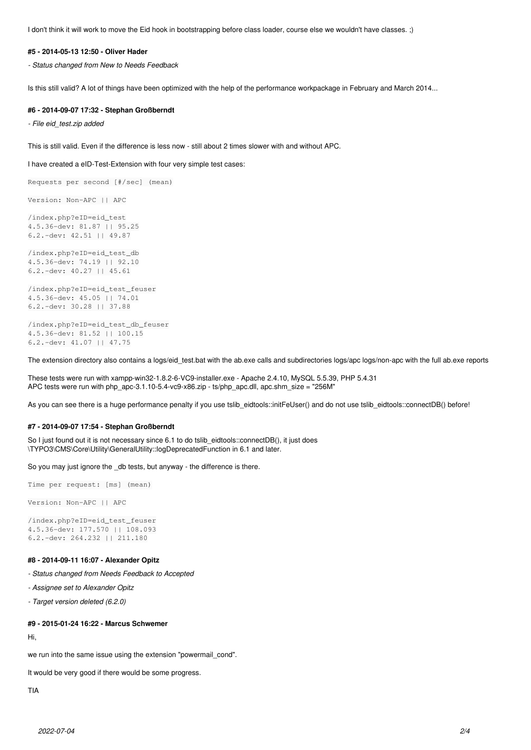I don't think it will work to move the Eid hook in bootstrapping before class loader, course else we wouldn't have classes. ;)

#### **#5 - 2014-05-13 12:50 - Oliver Hader**

*- Status changed from New to Needs Feedback*

Is this still valid? A lot of things have been optimized with the help of the performance workpackage in February and March 2014...

### **#6 - 2014-09-07 17:32 - Stephan Großberndt**

*- File eid\_test.zip added*

This is still valid. Even if the difference is less now - still about 2 times slower with and without APC.

I have created a eID-Test-Extension with four very simple test cases:

Requests per second [#/sec] (mean)

Version: Non-APC || APC

/index.php?eID=eid\_test 4.5.36-dev: 81.87 || 95.25 6.2.-dev: 42.51 || 49.87

/index.php?eID=eid\_test\_db 4.5.36-dev: 74.19 || 92.10 6.2.-dev: 40.27 || 45.61

/index.php?eID=eid\_test\_feuser 4.5.36-dev: 45.05 || 74.01 6.2.-dev: 30.28 || 37.88

/index.php?eID=eid\_test\_db\_feuser 4.5.36-dev: 81.52 || 100.15 6.2.-dev: 41.07 || 47.75

The extension directory also contains a logs/eid test.bat with the ab.exe calls and subdirectories logs/apc logs/non-apc with the full ab.exe reports

These tests were run with xampp-win32-1.8.2-6-VC9-installer.exe - Apache 2.4.10, MySQL 5.5.39, PHP 5.4.31 APC tests were run with php\_apc-3.1.10-5.4-vc9-x86.zip - ts/php\_apc.dll, apc.shm\_size = "256M"

As you can see there is a huge performance penalty if you use tslib\_eidtools::initFeUser() and do not use tslib\_eidtools::connectDB() before!

#### **#7 - 2014-09-07 17:54 - Stephan Großberndt**

So I just found out it is not necessary since 6.1 to do tslib eidtools::connectDB(), it just does \TYPO3\CMS\Core\Utility\GeneralUtility::logDeprecatedFunction in 6.1 and later.

So you may just ignore the \_db tests, but anyway - the difference is there.

Time per request: [ms] (mean)

Version: Non-APC || APC

```
/index.php?eID=eid_test_feuser
4.5.36-dev: 177.570 || 108.093
6.2.-dev: 264.232 || 211.180
```
## **#8 - 2014-09-11 16:07 - Alexander Opitz**

*- Status changed from Needs Feedback to Accepted*

*- Assignee set to Alexander Opitz*

*- Target version deleted (6.2.0)*

# **#9 - 2015-01-24 16:22 - Marcus Schwemer**

Hi,

we run into the same issue using the extension "powermail\_cond".

It would be very good if there would be some progress.

TIA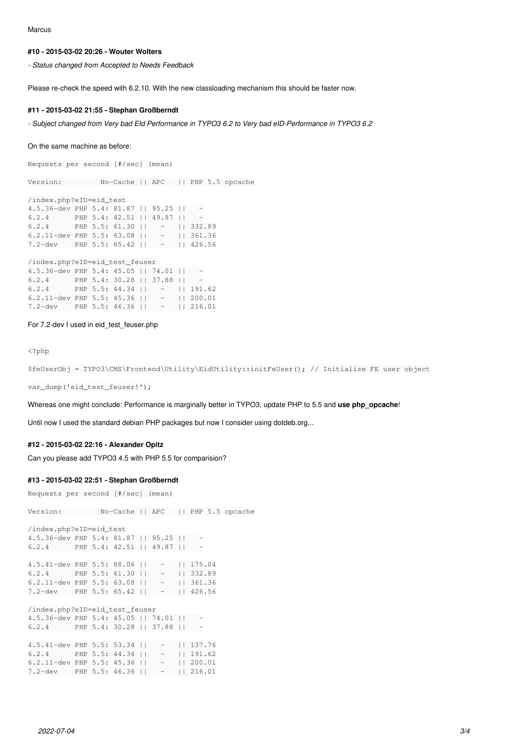Marcus

### **#10 - 2015-03-02 20:26 - Wouter Wolters**

*- Status changed from Accepted to Needs Feedback*

Please re-check the speed with 6.2.10. With the new classloading mechanism this should be faster now.

### **#11 - 2015-03-02 21:55 - Stephan Großberndt**

*- Subject changed from Very bad EId Performance in TYPO3 6.2 to Very bad eID-Performance in TYPO3 6.2*

#### On the same machine as before:

Requests per second [#/sec] (mean)

Version: No-Cache || APC || PHP 5.5 opcache

/index.php?eID=eid\_test 4.5.36-dev PHP 5.4: 81.87 || 95.25 || -  $6.2.4$  PHP 5.4: 42.51 || 49.87 || -6.2.4 PHP 5.5: 61.30 || - || 332.89 6.2.11-dev PHP 5.5: 63.08 || - || 361.36 7.2-dev PHP 5.5: 65.42 || - || 426.56

/index.php?eID=eid\_test\_feuser

| $4.5.36$ -dev PHP 5.4: 45.05    74.01   |  |  |                                  | $-$           |
|-----------------------------------------|--|--|----------------------------------|---------------|
| 6.2.4                                   |  |  | PHP 5.4: 30.28 $  $ 37.88 $  $ - |               |
| $6.2.4$ PHP 5.5: 44.34     -   191.62   |  |  |                                  |               |
| 6.2.11-dev PHP 5.5: 45.36 $  $          |  |  |                                  | $-$ 11 200.01 |
| 7.2-dev PHP 5.5: 46.36    $-$    216.01 |  |  |                                  |               |

#### For 7.2-dev I used in eid\_test\_feuser.php

<?php

```
$feUserObj = TYPO3\CMS\Frontend\Utility\EidUtility::initFeUser(); // Initialize FE user object
```
var\_dump('eid\_test\_feuser!');

Whereas one might conclude: Performance is marginally better in TYPO3, update PHP to 5.5 and **use php\_opcache**!

Until now I used the standard debian PHP packages but now I consider using dotdeb.org...

### **#12 - 2015-03-02 22:16 - Alexander Opitz**

Can you please add TYPO3 4.5 with PHP 5.5 for comparision?

### **#13 - 2015-03-02 22:51 - Stephan Großberndt**

```
Requests per second [#/sec] (mean)
```
Version: No-Cache || APC || PHP 5.5 opcache /index.php?eID=eid\_test 4.5.36-dev PHP 5.4: 81.87 || 95.25 || - 6.2.4 PHP 5.4: 42.51 || 49.87 || - 4.5.41-dev PHP 5.5: 88.06 || - || 175.04 6.2.4 PHP 5.5: 61.30 || - || 332.89 6.2.11-dev PHP 5.5: 63.08 || - || 361.36 7.2-dev PHP 5.5: 65.42 || - || 426.56 /index.php?eID=eid\_test\_feuser 4.5.36-dev PHP 5.4: 45.05 || 74.01 || - 6.2.4 PHP 5.4: 30.28 || 37.88 || - 4.5.41-dev PHP 5.5: 53.34 || - || 137.76 6.2.4 PHP 5.5: 44.34 || - || 191.62 6.2.11-dev PHP 5.5: 45.36 || - || 200.01 7.2-dev PHP 5.5: 46.36 || - || 216.01